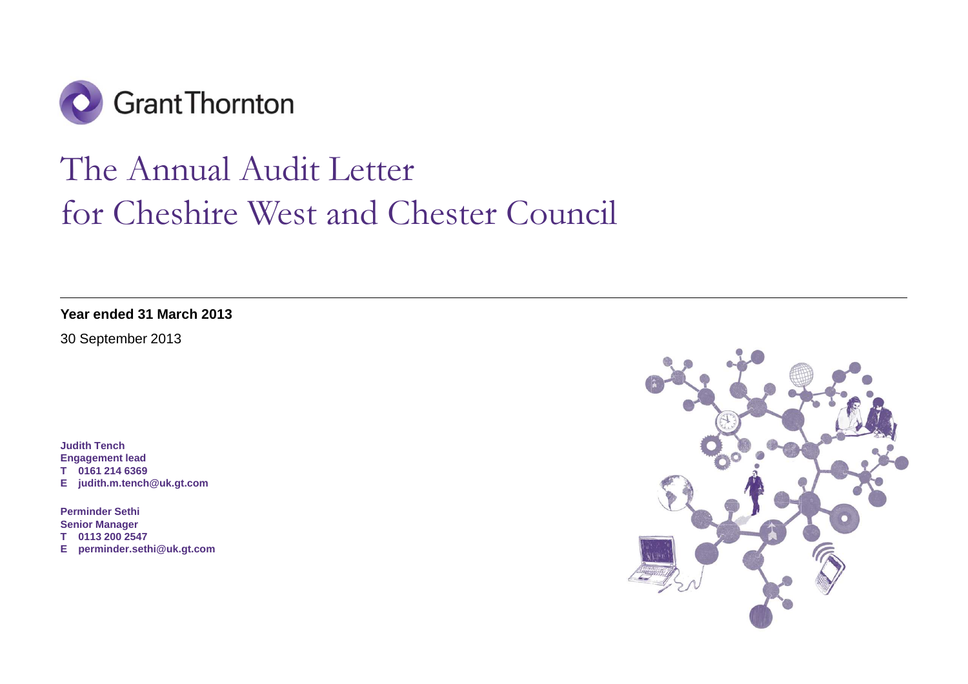

# The Annual Audit Letter for Cheshire West and Chester Council

**Year ended 31 March 2013** 

30 September 2013

**Judith Tench Engagement lead T 0161 214 6369 E judith.m.tench@uk.gt.com** 

**Perminder Sethi Senior Manager T 0113 200 2547 E perminder.sethi@uk.gt.com** 

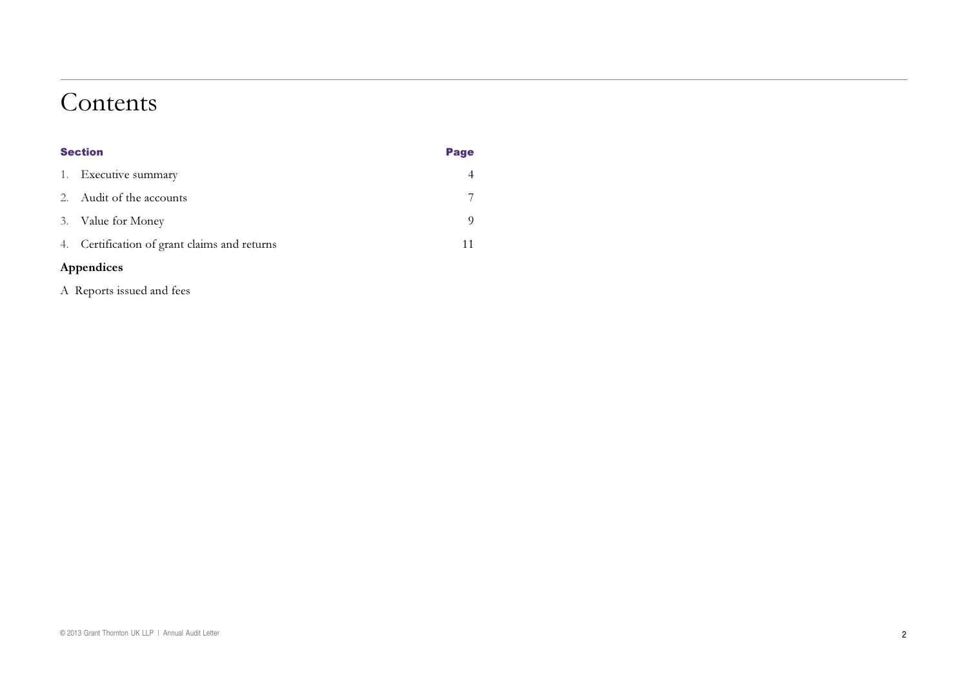### Contents

| <b>Section</b> |                                              | Page |
|----------------|----------------------------------------------|------|
|                | 1. Executive summary                         |      |
| $2^{+}$        | Audit of the accounts                        |      |
|                | 3. Value for Money                           |      |
|                | 4. Certification of grant claims and returns | 11   |
|                |                                              |      |

#### Appendices

A Reports issued and fees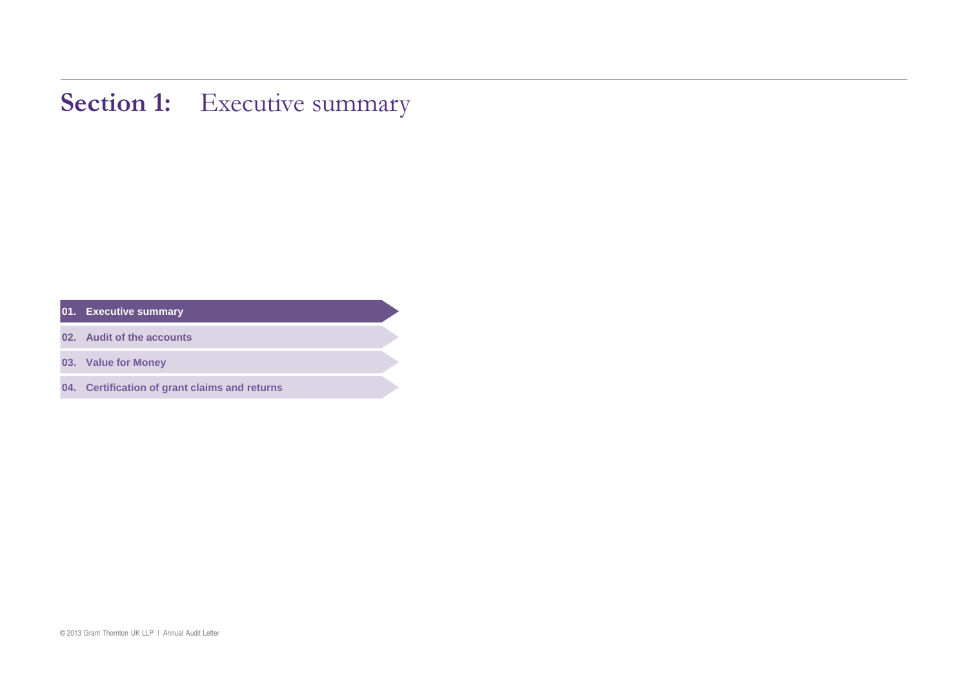### **Section 1:** Executive summary

**01. Executive summary** 

**02. Audit of the accounts** 

**03. Value for Money**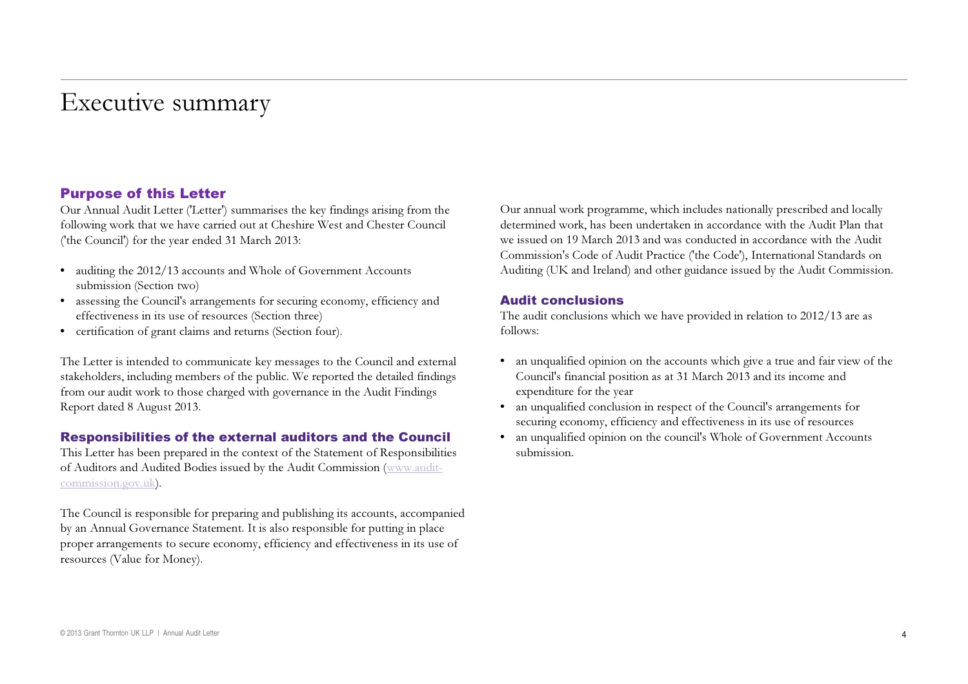## Executive summary

#### Purpose of this Letter

Our Annual Audit Letter ('Letter') summarises the key findings arising from the following work that we have carried out at Cheshire West and Chester Council ('the Council') for the year ended 31 March 2013:

- auditing the 2012/13 accounts and Whole of Government Accounts submission (Section two)
- assessing the Council's arrangements for securing economy, efficiency and effectiveness in its use of resources (Section three)
- • certification of grant claims and returns (Section four).

The Letter is intended to communicate key messages to the Council and external stakeholders, including members of the public. We reported the detailed findings from our audit work to those charged with governance in the Audit Findings Report dated 8 August 2013.

#### Responsibilities of the external auditors and the Council

This Letter has been prepared in the context of the Statement of Responsibilities of Auditors and Audited Bodies issued by the Audit Commission (www.auditcommission.gov.uk).

The Council is responsible for preparing and publishing its accounts, accompanied by an Annual Governance Statement. It is also responsible for putting in place proper arrangements to secure economy, efficiency and effectiveness in its use of resources (Value for Money).

Our annual work programme, which includes nationally prescribed and locally determined work, has been undertaken in accordance with the Audit Plan that we issued on 19 March 2013 and was conducted in accordance with the Audit Commission's Code of Audit Practice ('the Code'), International Standards on Auditing (UK and Ireland) and other guidance issued by the Audit Commission.

#### Audit conclusions

The audit conclusions which we have provided in relation to 2012/13 are as follows:

- an unqualified opinion on the accounts which give a true and fair view of the Council's financial position as at 31 March <sup>2013</sup> and its income and expenditure for the year
- an unqualified conclusion in respect of the Council's arrangements for securing economy, efficiency and effectiveness in its use of resources
- an unqualified opinion on the council's Whole of Government Accounts submission.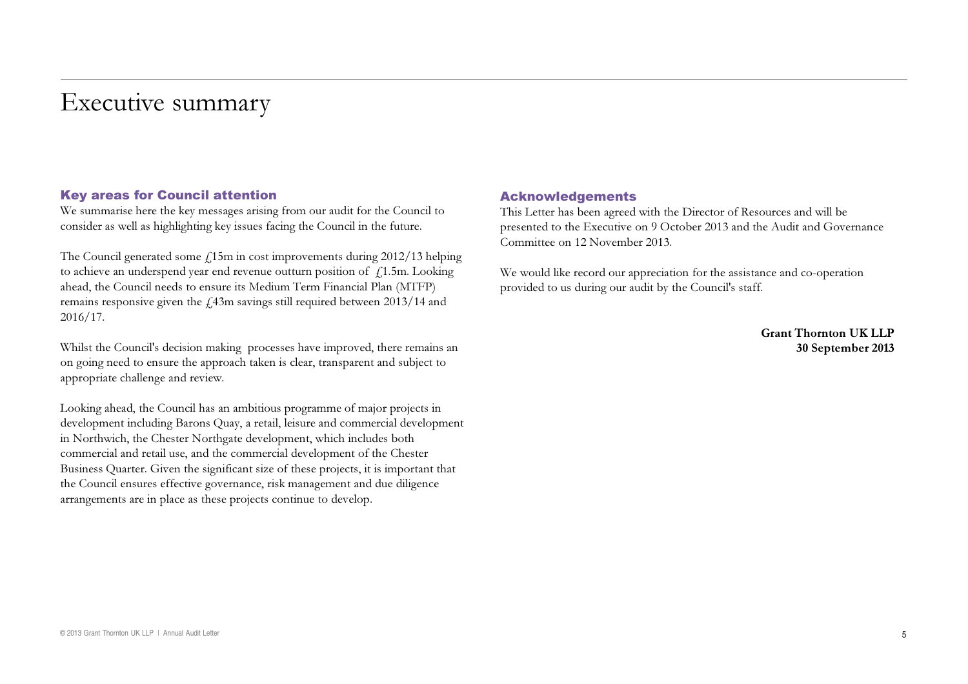## Executive summary

#### Key areas for Council attention

We summarise here the key messages arising from our audit for the Council to consider as well as highlighting key issues facing the Council in the future.

The Council generated some  $f<sub>i</sub>15m$  in cost improvements during 2012/13 helping to achieve an underspend year end revenue outturn position of  $\ \pm 1.5$ m. Looking ahead, the Council needs to ensure its Medium Term Financial Plan (MTFP) remains responsive given the  $\pounds 43$ m savings still required between 2013/14 and 2016/17.

Whilst the Council's decision making processes have improved, there remains an on going need to ensure the approach taken is clear, transparent and subject to appropriate challenge and review.

Looking ahead, the Council has an ambitious programme of major projects in development including Barons Quay, a retail, leisure and commercial development in Northwich, the Chester Northgate development, which includes both commercial and retail use, and the commercial development of the Chester Business Quarter. Given the significant size of these projects, it is important that the Council ensures effective governance, risk management and due diligence arrangements are in place as these projects continue to develop.

#### Acknowledgements

This Letter has been agreed with the Director of Resources and will be presented to the Executive on 9 October 2013 and the Audit and Governance Committee on 12 November 2013.

We would like record our appreciation for the assistance and co-operation provided to us during our audit by the Council's staff.

> Grant Thornton UK LLP30 September 2013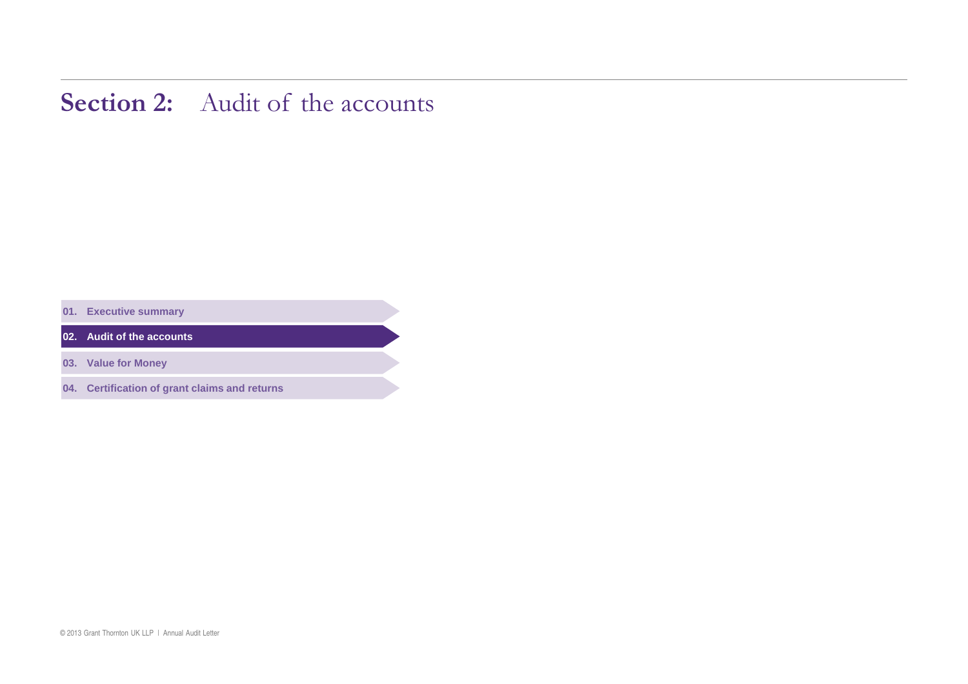### **Section 2:** Audit of the accounts

**01. Executive summary** 

**02. Audit of the accounts** 

**03. Value for Money**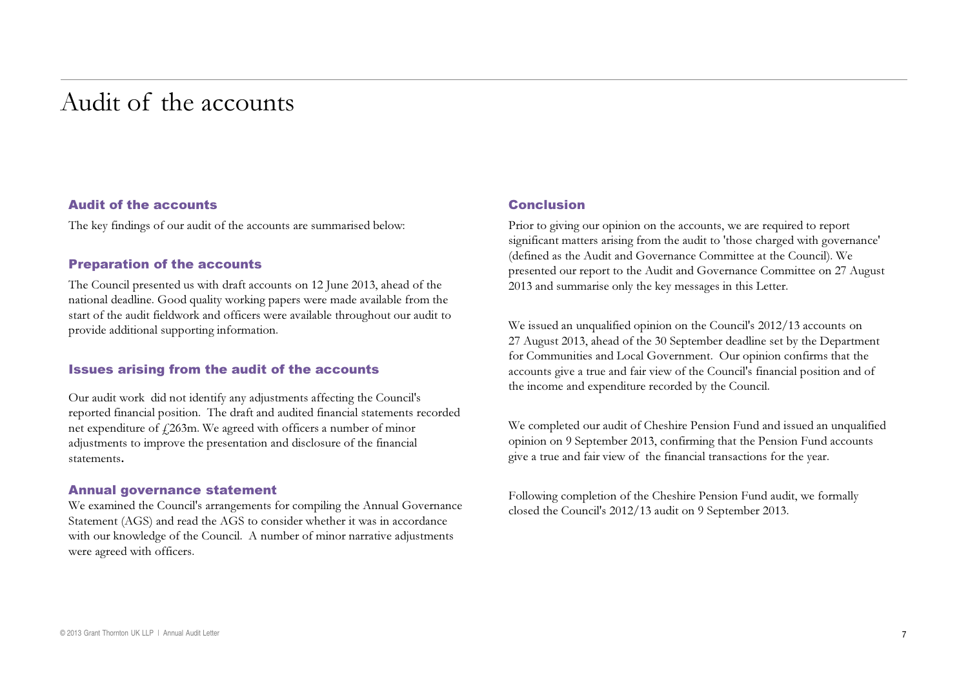### Audit of the accounts

#### Audit of the accounts

The key findings of our audit of the accounts are summarised below:

#### Preparation of the accounts

The Council presented us with draft accounts on 12 June 2013, ahead of the national deadline. Good quality working papers were made available from the start of the audit fieldwork and officers were available throughout our audit to provide additional supporting information.

#### Issues arising from the audit of the accounts

Our audit work did not identify any adjustments affecting the Council's reported financial position. The draft and audited financial statements recorded net expenditure of  $f$ 263m. We agreed with officers a number of minor adjustments to improve the presentation and disclosure of the financial statements.

#### Annual governance statement

We examined the Council's arrangements for compiling the Annual Governance Statement (AGS) and read the AGS to consider whether it was in accordance with our knowledge of the Council. A number of minor narrative adjustments were agreed with officers.

#### Conclusion

Prior to giving our opinion on the accounts, we are required to report significant matters arising from the audit to 'those charged with governance' (defined as the Audit and Governance Committee at the Council). We presented our report to the Audit and Governance Committee on 27 August 2013 and summarise only the key messages in this Letter.

We issued an unqualified opinion on the Council's 2012/13 accounts on 27 August 2013, ahead of the 30 September deadline set by the Department for Communities and Local Government. Our opinion confirms that the accounts give a true and fair view of the Council's financial position and of the income and expenditure recorded by the Council.

We completed our audit of Cheshire Pension Fund and issued an unqualified opinion on 9 September 2013, confirming that the Pension Fund accounts give a true and fair view of the financial transactions for the year.

Following completion of the Cheshire Pension Fund audit, we formally closed the Council's 2012/13 audit on 9 September 2013.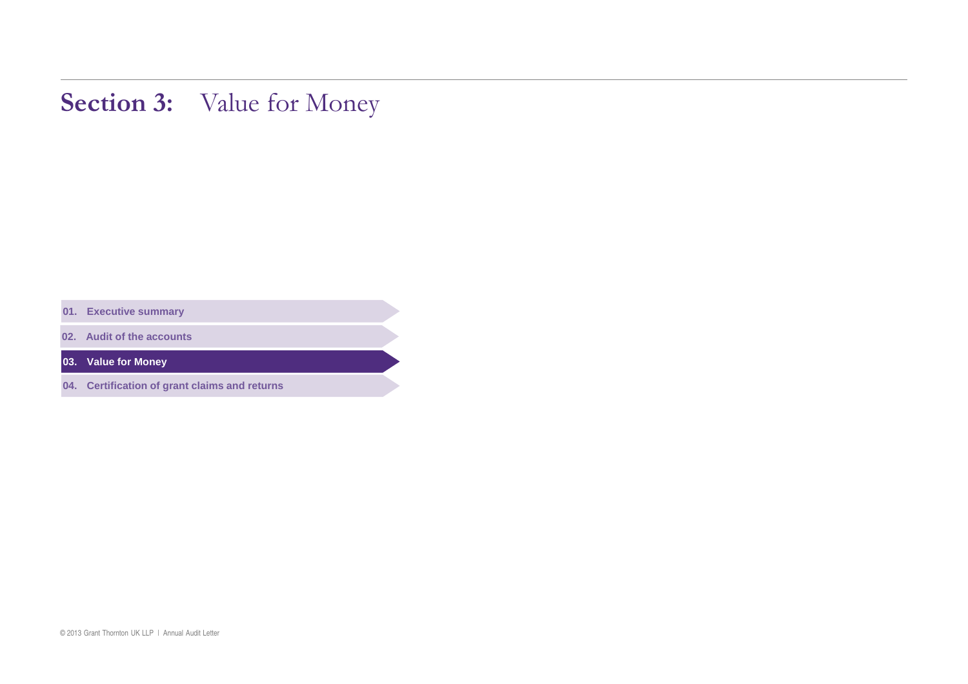# Section 3: Value for Money

**01. Executive summary** 

**02. Audit of the accounts** 

**03. Value for Money**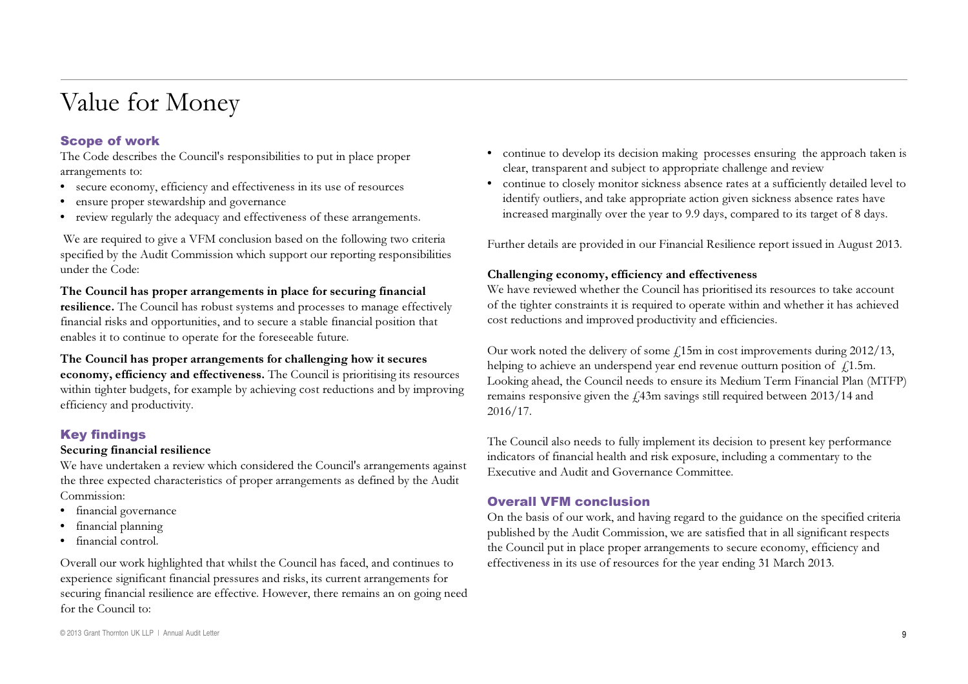# Value for Money

#### Scope of work

The Code describes the Council's responsibilities to put in place proper arrangements to:

- secure economy, efficiency and effectiveness in its use of resources
- ensure proper stewardship and governance
- review regularly the adequacy and effectiveness of these arrangements.

We are required to give a VFM conclusion based on the following two criteria specified by the Audit Commission which support our reporting responsibilities under the Code:

#### The Council has proper arrangements in place for securing financial

**resilience.** The Council has robust systems and processes to manage effectively financial risks and opportunities, and to secure a stable financial position that enables it to continue to operate for the foreseeable future.

#### The Council has proper arrangements for challenging how it secures

economy, efficiency and effectiveness. The Council is prioritising its resources within tighter budgets, for example by achieving cost reductions and by improving efficiency and productivity.

#### Key findings

#### Securing financial resilience

We have undertaken a review which considered the Council's arrangements against the three expected characteristics of proper arrangements as defined by the Audit Commission:

- financial governance
- financial planning
- • financial control.

Overall our work highlighted that whilst the Council has faced, and continues to experience significant financial pressures and risks, its current arrangements for securing financial resilience are effective. However, there remains an on going need for the Council to:

- continue to develop its decision making processes ensuring the approach taken is clear, transparent and subject to appropriate challenge and review
- • continue to closely monitor sickness absence rates at a sufficiently detailed level to identify outliers, and take appropriate action given sickness absence rates have increased marginally over the year to 9.9 days, compared to its target of 8 days.

Further details are provided in our Financial Resilience report issued in August 2013.

#### Challenging economy, efficiency and effectiveness

We have reviewed whether the Council has prioritised its resources to take account of the tighter constraints it is required to operate within and whether it has achieved cost reductions and improved productivity and efficiencies.

Our work noted the delivery of some  $\rm \AA 15m$  in cost improvements during 2012/13, helping to achieve an underspend year end revenue outturn position of  $\ddot{f}$  1.5m. Looking ahead, the Council needs to ensure its Medium Term Financial Plan (MTFP) remains responsive given the  $\AA$ 3m savings still required between 2013/14 and 2016/17.

The Council also needs to fully implement its decision to present key performance indicators of financial health and risk exposure, including a commentary to the Executive and Audit and Governance Committee.

#### Overall VFM conclusion

On the basis of our work, and having regard to the guidance on the specified criteria published by the Audit Commission, we are satisfied that in all significant respects the Council put in place proper arrangements to secure economy, efficiency and effectiveness in its use of resources for the year ending 31 March 2013.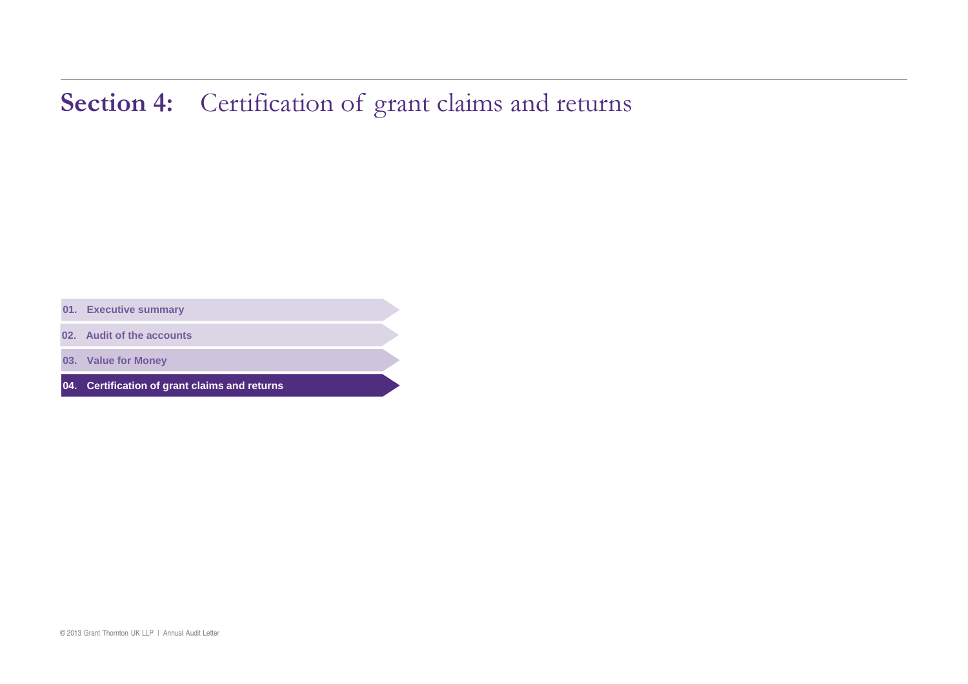# Section 4: Certification of grant claims and returns

**01. Executive summary** 

**02. Audit of the accounts** 

**03. Value for Money**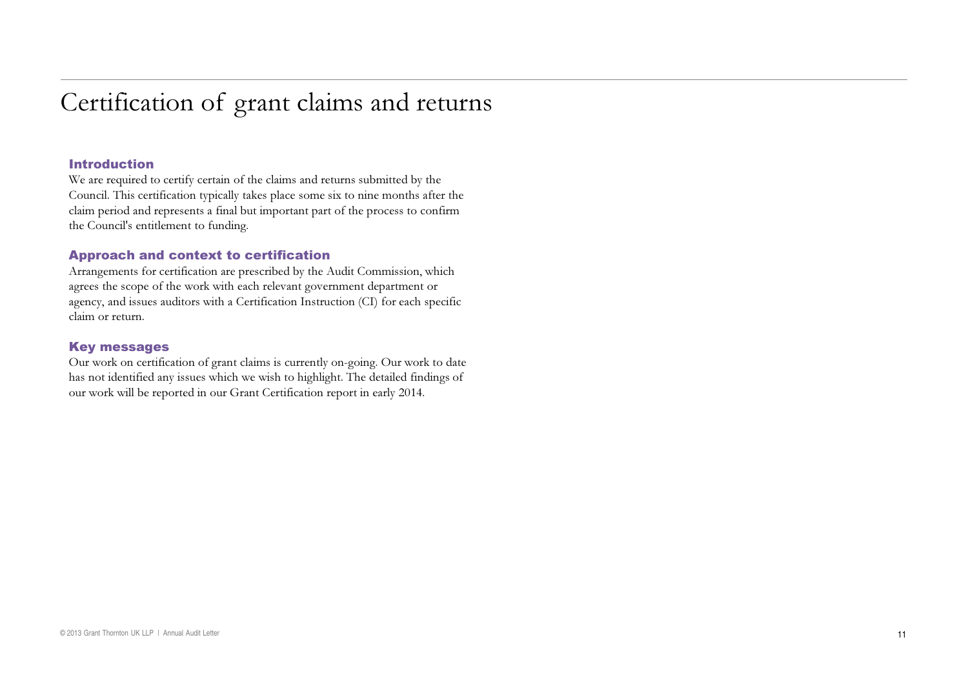# Certification of grant claims and returns

#### Introduction

We are required to certify certain of the claims and returns submitted by the Council. This certification typically takes place some six to nine months after the claim period and represents <sup>a</sup> final but important part of the process to confirm the Council's entitlement to funding.

#### Approach and context to certification

Arrangements for certification are prescribed by the Audit Commission, which agrees the scope of the work with each relevant government department or agency, and issues auditors with a Certification Instruction (CI) for each specific claim or return.

#### Key messages

Our work on certification of grant claims is currently on-going. Our work to date has not identified any issues which we wish to highlight. The detailed findings of our work will be reported in our Grant Certification report in early 2014.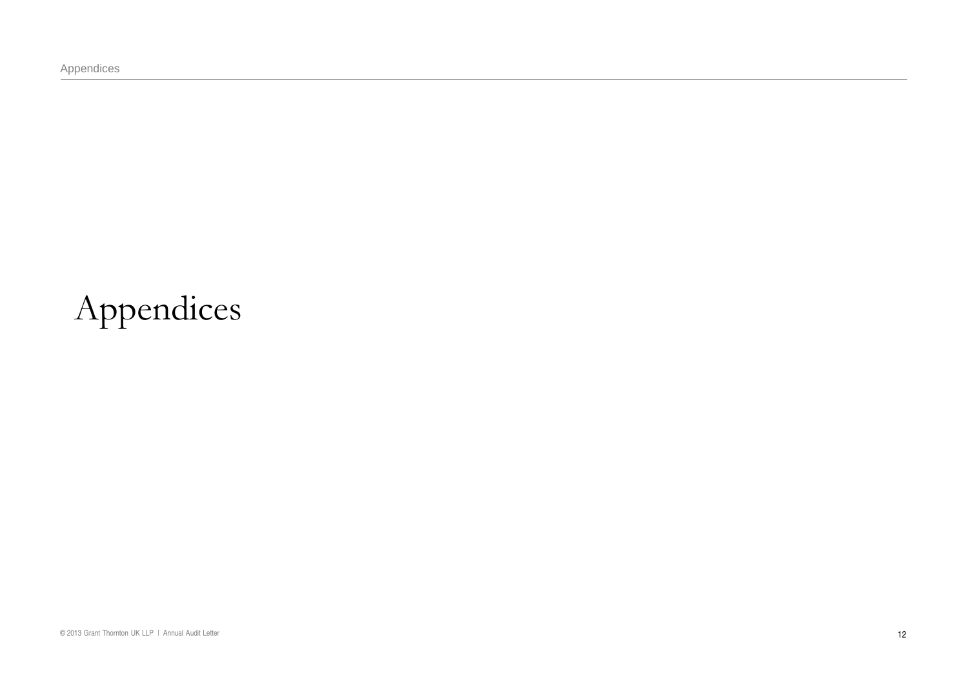Appendices

# Appendices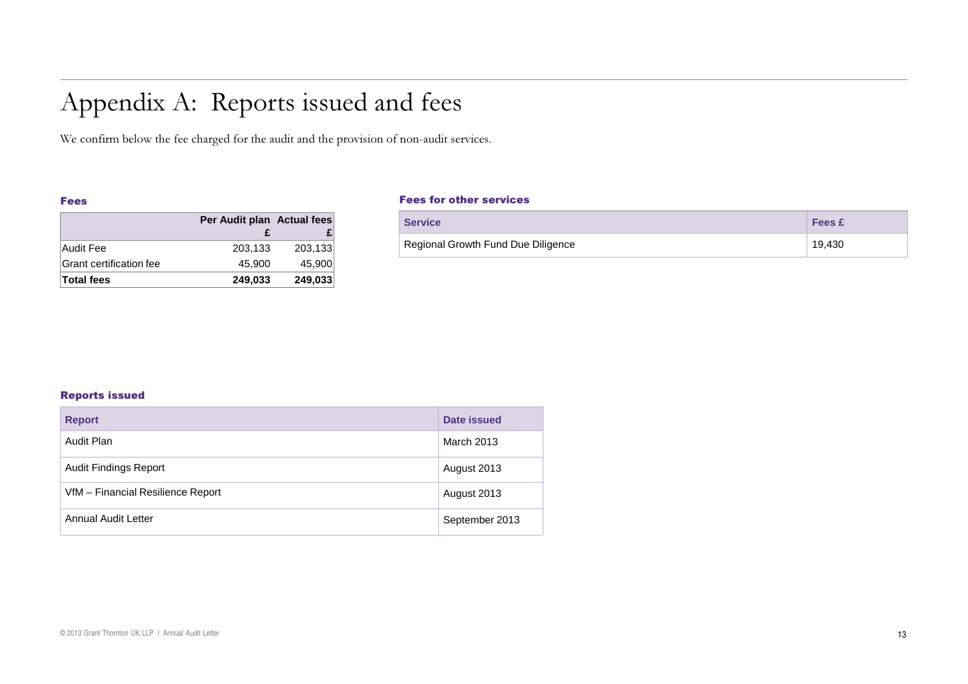# Appendix A: Reports issued and fees

We confirm below the fee charged for the audit and the provision of non-audit services.

#### Fees

|                         | Per Audit plan Actual fees |         |
|-------------------------|----------------------------|---------|
|                         |                            |         |
| Audit Fee               | 203,133                    | 203,133 |
| Grant certification fee | 45.900                     | 45.900  |
| Total fees              | 249.033                    | 249,033 |

#### Fees for other services

| <b>Service</b>                     | <b>Fees £</b> |
|------------------------------------|---------------|
| Regional Growth Fund Due Diligence | 19,430        |

#### Reports issued

| <b>Report</b>                     | Date issued    |
|-----------------------------------|----------------|
| Audit Plan                        | March 2013     |
| <b>Audit Findings Report</b>      | August 2013    |
| VfM - Financial Resilience Report | August 2013    |
| Annual Audit Letter               | September 2013 |